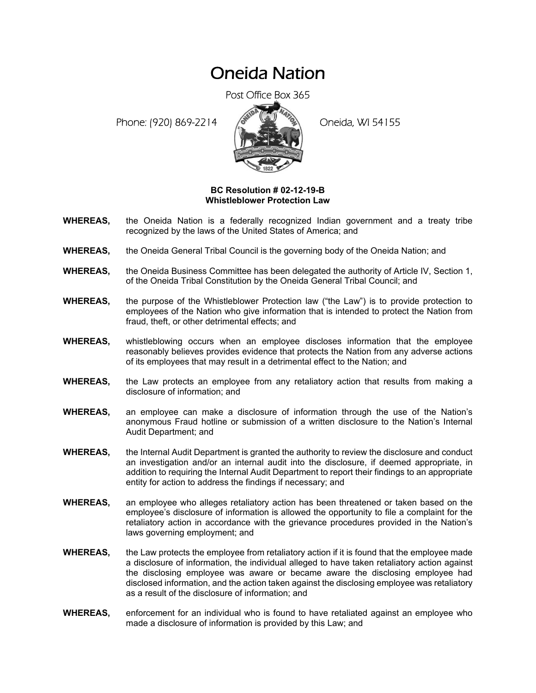## Oneida Nation

Post Office Box 365

Phone: (920) 869-2214 (8 22 3) Oneida, WI 54155



## **BC Resolution # 02-12-19-B Whistleblower Protection Law**

- **WHEREAS,** the Oneida Nation is a federally recognized Indian government and a treaty tribe recognized by the laws of the United States of America; and
- **WHEREAS,** the Oneida General Tribal Council is the governing body of the Oneida Nation; and
- **WHEREAS,** the Oneida Business Committee has been delegated the authority of Article IV, Section 1, of the Oneida Tribal Constitution by the Oneida General Tribal Council; and
- **WHEREAS,** the purpose of the Whistleblower Protection law ("the Law") is to provide protection to employees of the Nation who give information that is intended to protect the Nation from fraud, theft, or other detrimental effects; and
- **WHEREAS,** whistleblowing occurs when an employee discloses information that the employee reasonably believes provides evidence that protects the Nation from any adverse actions of its employees that may result in a detrimental effect to the Nation; and
- **WHEREAS,** the Law protects an employee from any retaliatory action that results from making a disclosure of information; and
- **WHEREAS,** an employee can make a disclosure of information through the use of the Nation's anonymous Fraud hotline or submission of a written disclosure to the Nation's Internal Audit Department; and
- **WHEREAS,** the Internal Audit Department is granted the authority to review the disclosure and conduct an investigation and/or an internal audit into the disclosure, if deemed appropriate, in addition to requiring the Internal Audit Department to report their findings to an appropriate entity for action to address the findings if necessary; and
- **WHEREAS,** an employee who alleges retaliatory action has been threatened or taken based on the employee's disclosure of information is allowed the opportunity to file a complaint for the retaliatory action in accordance with the grievance procedures provided in the Nation's laws governing employment; and
- **WHEREAS,** the Law protects the employee from retaliatory action if it is found that the employee made a disclosure of information, the individual alleged to have taken retaliatory action against the disclosing employee was aware or became aware the disclosing employee had disclosed information, and the action taken against the disclosing employee was retaliatory as a result of the disclosure of information; and
- **WHEREAS,** enforcement for an individual who is found to have retaliated against an employee who made a disclosure of information is provided by this Law; and